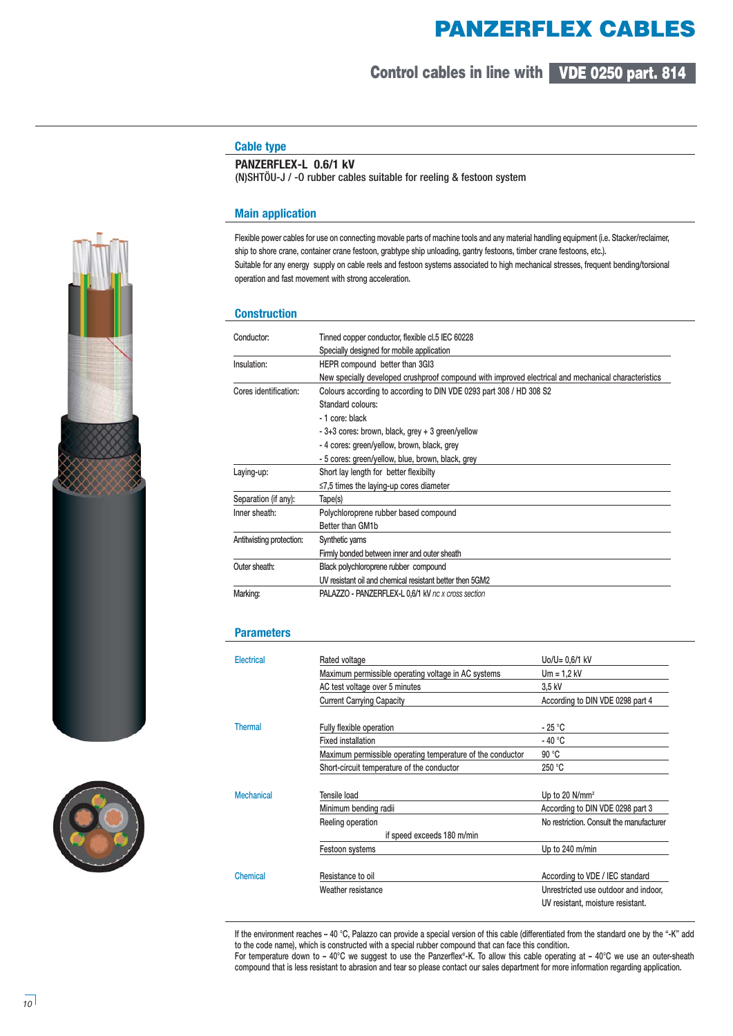# **PANZERFLEX CABLES**

**Control cables in line with VDE 0250 part. 814**

# **Cable type**

## **PANZERFLEX-L 0.6/1 kV**

(N)SHTÖU-J / -O rubber cables suitable for reeling & festoon system

#### **Main application**

**Flexible power cables for use on connecting movable parts of machine tools and any material handling equipment (i.e. Stacker/reclaimer, ship to shore crane, container crane festoon, grabtype ship unloading, gantry festoons, timber crane festoons, etc.). Suitable for any energy supply on cable reels and festoon systems associated to high mechanical stresses, frequent bending/torsional operation and fast movement with strong acceleration.** 

#### **Construction**

| Conductor:               | Tinned copper conductor, flexible cl.5 IEC 60228                                                    |  |  |  |  |  |  |  |
|--------------------------|-----------------------------------------------------------------------------------------------------|--|--|--|--|--|--|--|
|                          | Specially designed for mobile application                                                           |  |  |  |  |  |  |  |
| Insulation:              | HEPR compound better than 3GI3                                                                      |  |  |  |  |  |  |  |
|                          | New specially developed crushproof compound with improved electrical and mechanical characteristics |  |  |  |  |  |  |  |
| Cores identification:    | Colours according to according to DIN VDE 0293 part 308 / HD 308 S2                                 |  |  |  |  |  |  |  |
|                          | Standard colours:                                                                                   |  |  |  |  |  |  |  |
|                          | - 1 core: black                                                                                     |  |  |  |  |  |  |  |
|                          | - 3+3 cores: brown, black, grey + 3 green/yellow                                                    |  |  |  |  |  |  |  |
|                          | - 4 cores: green/yellow, brown, black, grey                                                         |  |  |  |  |  |  |  |
|                          | - 5 cores: green/yellow, blue, brown, black, grey                                                   |  |  |  |  |  |  |  |
| Laying-up:               | Short lay length for better flexibilty                                                              |  |  |  |  |  |  |  |
|                          | $\leq$ 7,5 times the laying-up cores diameter                                                       |  |  |  |  |  |  |  |
| Separation (if any):     | Tape(s)                                                                                             |  |  |  |  |  |  |  |
| Inner sheath:            | Polychloroprene rubber based compound                                                               |  |  |  |  |  |  |  |
|                          | Better than GM1b                                                                                    |  |  |  |  |  |  |  |
| Antitwisting protection: | Synthetic yarns                                                                                     |  |  |  |  |  |  |  |
|                          | Firmly bonded between inner and outer sheath                                                        |  |  |  |  |  |  |  |
| Outer sheath:            | Black polychloroprene rubber compound                                                               |  |  |  |  |  |  |  |
|                          | UV resistant oil and chemical resistant better then 5GM2                                            |  |  |  |  |  |  |  |
| Marking:                 | <b>PALAZZO - PANZERFLEX-L 0.6/1 kV nc x cross section</b>                                           |  |  |  |  |  |  |  |

#### **Parameters**

| Electrical        | Rated voltage                                              | Uo/U= 0,6/1 kV                           |  |  |  |  |
|-------------------|------------------------------------------------------------|------------------------------------------|--|--|--|--|
|                   | Maximum permissible operating voltage in AC systems        | $Um = 1.2 kV$                            |  |  |  |  |
|                   | AC test voltage over 5 minutes                             | 3,5 kV                                   |  |  |  |  |
|                   | <b>Current Carrying Capacity</b>                           | According to DIN VDE 0298 part 4         |  |  |  |  |
| <b>Thermal</b>    | Fully flexible operation                                   | - 25 °C                                  |  |  |  |  |
|                   | <b>Fixed installation</b>                                  | - 40 °C                                  |  |  |  |  |
|                   | Maximum permissible operating temperature of the conductor | 90 °C                                    |  |  |  |  |
|                   | Short-circuit temperature of the conductor                 | 250 °C                                   |  |  |  |  |
| <b>Mechanical</b> | Tensile load                                               | Up to 20 $N/mm^2$                        |  |  |  |  |
|                   | Minimum bending radii                                      | According to DIN VDE 0298 part 3         |  |  |  |  |
|                   | Reeling operation                                          | No restriction. Consult the manufacturer |  |  |  |  |
|                   | if speed exceeds 180 m/min                                 |                                          |  |  |  |  |
|                   | Festoon systems                                            | Up to 240 m/min                          |  |  |  |  |
| Chemical          | Resistance to oil                                          | According to VDE / IEC standard          |  |  |  |  |
|                   | Weather resistance                                         | Unrestricted use outdoor and indoor,     |  |  |  |  |
|                   |                                                            | UV resistant, moisture resistant.        |  |  |  |  |

**If the environment reaches – 40 °C, Palazzo can provide a special version of this cable (differentiated from the standard one by the "-K" add to the code name), which is constructed with a special rubber compound that can face this condition.**

**For temperature down to – 40°C we suggest to use the Panzerflex®-K. To allow this cable operating at – 40°C we use an outer-sheath compound that is less resistant to abrasion and tear so please contact our sales department for more information regarding application.**



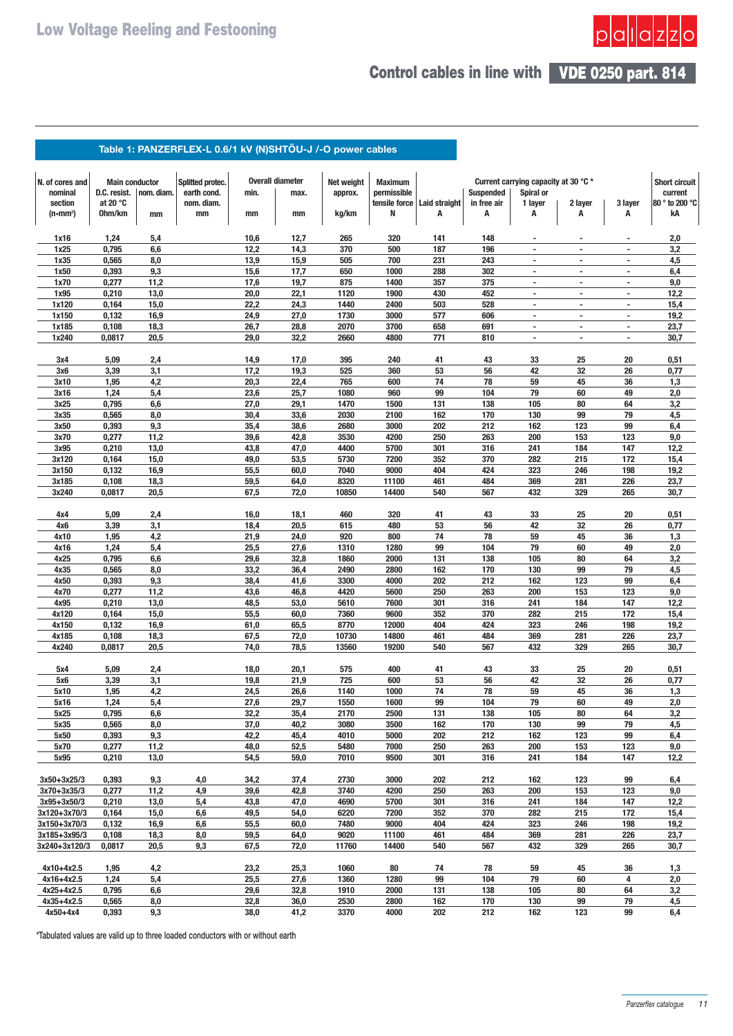

# **Control cables in line with VDE 0250 part. 814**

## Table 1: PANZERFLEX-L 0.6/1 kV (N)SHTÖU-J /-O power cables

| N. of cores and                 | <b>Main conductor</b> |              | Splitted protec. |              | <b>Overall diameter</b> | Net weight   | <b>Maximum</b> |               |                  | Current carrying capacity at 30 °C *       |                                                      |                                | <b>Short circuit</b> |
|---------------------------------|-----------------------|--------------|------------------|--------------|-------------------------|--------------|----------------|---------------|------------------|--------------------------------------------|------------------------------------------------------|--------------------------------|----------------------|
| nominal                         | D.C. resist.          | nom. diam.   | earth cond.      | min.         | max.                    | approx.      | permissible    |               | <b>Suspended</b> | Spiral or                                  |                                                      |                                | current              |
| section                         | at 20 $\degree$ C     |              | nom. diam.       |              |                         |              | tensile force  | Laid straight | in free air      | 1 layer                                    | 2 layer                                              | 3 layer                        | 80 ° to 200 °C       |
| $(n \cdot mm^2)$                | 0hm/km                | mm           | mm               | mm           | mm                      | kg/km        | N              | А             | A                | A                                          | A                                                    | A                              | kA                   |
| 1x16                            | 1,24                  | 5,4          |                  | 10,6         | 12,7                    | 265          | 320            | 141           | 148              |                                            |                                                      |                                | 2,0                  |
| 1x25                            | 0,795                 | 6,6          |                  | 12,2         | 14,3                    | 370          | 500            | 187           | 196              | $\overline{a}$                             | $\overline{a}$                                       | $\overline{\phantom{a}}$       | 3,2                  |
| 1x35                            | 0,565                 | 8,0          |                  | 13,9         | 15,9                    | 505          | 700            | 231           | 243              | $\overline{\phantom{a}}$                   | $\overline{\phantom{a}}$                             | $\overline{\phantom{a}}$       | 4,5                  |
| 1x50                            | 0,393                 | 9,3          |                  | 15,6         | 17,7                    | 650          | 1000           | 288           | 302              | $\sim$                                     | $\overline{\phantom{a}}$                             | $\overline{\phantom{a}}$       | 6,4                  |
| 1x70                            | 0,277                 | 11,2         |                  | 17,6         | 19,7                    | 875          | 1400           | 357           | 375              | $\blacksquare$                             | $\overline{\phantom{a}}$                             | $\overline{\phantom{a}}$       | 9,0                  |
| 1x95                            | 0,210                 | 13,0         |                  | 20,0         | 22,1                    | 1120         | 1900           | 430           | 452              | $\blacksquare$<br>$\overline{\phantom{a}}$ | $\overline{\phantom{a}}$<br>$\overline{\phantom{a}}$ | $\overline{\phantom{a}}$<br>ä, | 12,2                 |
| 1x120<br>1x150                  | 0,164<br>0,132        | 15,0<br>16,9 |                  | 22,2<br>24,9 | 24,3<br>27,0            | 1440<br>1730 | 2400<br>3000   | 503<br>577    | 528<br>606       | ٠                                          | $\overline{\phantom{a}}$                             | $\overline{\phantom{a}}$       | 15,4<br>19,2         |
| 1x185                           | 0,108                 | 18,3         |                  | 26,7         | 28,8                    | 2070         | 3700           | 658           | 691              | ٠                                          | $\blacksquare$                                       | $\overline{\phantom{a}}$       | 23,7                 |
| 1x240                           | 0,0817                | 20,5         |                  | 29,0         | 32,2                    | 2660         | 4800           | 771           | 810              |                                            | ٠                                                    | $\blacksquare$                 | 30,7                 |
| 3x4                             | 5,09                  | 2,4          |                  | 14,9         | 17,0                    | 395          | 240            | 41            | 43               | 33                                         | 25                                                   | 20                             | 0,51                 |
| Зх6                             | 3,39                  | 3,1          |                  | 17,2         | 19,3                    | 525          | 360            | 53            | 56               | 42                                         | 32                                                   | 26                             | 0,77                 |
| 3x10                            | 1,95                  | 4,2          |                  | 20,3         | 22,4                    | 765          | 600            | 74            | 78               | 59                                         | 45                                                   | 36                             | 1,3                  |
| 3x16                            | 1,24                  | 5,4          |                  | 23,6         | 25,7                    | 1080         | 960            | 99            | 104              | 79                                         | 60                                                   | 49                             | 2,0                  |
| 3x25                            | 0,795                 | 6,6          |                  | 27,0         | 29,1                    | 1470         | 1500           | 131           | 138              | 105                                        | 80                                                   | 64                             | 3,2                  |
| 3x35                            | 0,565                 | 8,0          |                  | 30,4         | 33,6                    | 2030         | 2100           | 162           | 170              | 130                                        | 99                                                   | 79                             | 4,5                  |
| 3x50                            | 0,393                 | 9,3          |                  | 35,4         | 38,6                    | 2680         | 3000           | 202           | 212              | 162                                        | 123                                                  | 99                             | 6,4                  |
| 3x70                            | 0,277                 | 11,2         |                  | 39,6         | 42,8                    | 3530         | 4200           | 250           | 263              | 200                                        | 153                                                  | 123                            | 9,0                  |
| 3x95                            | 0,210                 | 13,0         |                  | 43,8         | 47,0                    | 4400         | 5700           | 301           | 316              | 241                                        | 184                                                  | 147                            | 12,2                 |
| 3x120                           | 0,164                 | 15,0         |                  | 49,0         | 53,5                    | 5730         | 7200           | 352           | 370              | 282                                        | 215                                                  | 172                            | 15,4                 |
| 3x150                           | 0,132                 | 16,9         |                  | 55,5         | 60,0                    | 7040         | 9000           | 404           | 424              | 323                                        | 246                                                  | 198                            | 19,2                 |
| 3x185                           | 0,108                 | 18,3         |                  | 59,5         | 64,0                    | 8320         | 11100          | 461           | 484              | 369                                        | 281                                                  | 226                            | 23,7                 |
| 3x240                           | 0,0817                | 20,5         |                  | 67,5         | 72,0                    | 10850        | 14400          | 540           | 567              | 432                                        | 329                                                  | 265                            | 30,7                 |
| 4x4                             | 5,09                  | 2,4          |                  | 16,0         | 18,1                    | 460          | 320            | 41            | 43               | 33                                         | 25                                                   | 20                             | 0,51                 |
| 4x6                             | 3,39                  | 3,1          |                  | 18,4         | 20,5                    | 615          | 480            | 53            | 56               | 42                                         | 32                                                   | 26                             | 0,77                 |
| 4x10                            | 1,95                  | 4,2          |                  | 21,9         | 24,0                    | 920          | 800            | 74            | 78               | 59                                         | 45                                                   | 36                             | 1,3                  |
| 4x16<br>4x25                    | 1,24<br>0,795         | 5,4<br>6,6   |                  | 25,5<br>29,6 | 27,6<br>32,8            | 1310<br>1860 | 1280<br>2000   | 99<br>131     | 104<br>138       | 79<br>105                                  | 60<br>80                                             | 49<br>64                       | 2,0<br>3,2           |
| 4x35                            | 0,565                 | 8,0          |                  | 33,2         | 36,4                    | 2490         | 2800           | 162           | 170              | 130                                        | 99                                                   | 79                             | 4,5                  |
| 4x50                            | 0,393                 | 9,3          |                  | 38,4         | 41,6                    | 3300         | 4000           | 202           | 212              | 162                                        | 123                                                  | 99                             | 6,4                  |
| 4x70                            | 0,277                 | 11,2         |                  | 43,6         | 46,8                    | 4420         | 5600           | 250           | 263              | 200                                        | 153                                                  | 123                            | 9,0                  |
| 4x95                            | 0,210                 | 13,0         |                  | 48,5         | 53,0                    | 5610         | 7600           | 301           | 316              | 241                                        | 184                                                  | 147                            | 12,2                 |
| 4x120                           | 0,164                 | 15,0         |                  | 55,5         | 60,0                    | 7360         | 9600           | 352           | 370              | 282                                        | 215                                                  | 172                            | 15,4                 |
| 4x150                           | 0,132                 | 16,9         |                  | 61,0         | 65,5                    | 8770         | 12000          | 404           | 424              | 323                                        | 246                                                  | 198                            | 19,2                 |
| 4x185                           | 0,108                 | 18,3         |                  | 67,5         | 72,0                    | 10730        | 14800          | 461           | 484              | 369                                        | 281                                                  | 226                            | 23,7                 |
| 4x240                           | 0,0817                | 20,5         |                  | 74,0         | 78,5                    | 13560        | 19200          | 540           | 567              | 432                                        | 329                                                  | 265                            | 30,7                 |
| 5x4                             | 5,09                  | 2,4          |                  | 18,0         | 20,1                    | 575          | 400            | 41            | 43               | 33                                         | 25                                                   | 20                             | 0,51                 |
| 5x6                             | 3,39                  | 3,1          |                  | 19,8         | 21,9                    | 725          | 600            | 53            | 56               | 42                                         | 32                                                   | 26                             | 0,77                 |
| 5x10                            | 1,95                  | 4,2          |                  | 24,5         | 26,6                    | 1140         | 1000           | 74            | 78               | 59                                         | 45                                                   | 36                             | 1,3                  |
| 5x16                            | 1,24                  | 5,4          |                  | 27,6         | 29,7                    | 1550         | 1600           | 99            | 104              | 79                                         | 60                                                   | 49                             | 2,0                  |
| 5x25                            | 0,795                 | 6,6          |                  | 32,2         | 35,4                    | 2170         | 2500           | 131           | 138              | 105                                        | 80                                                   | 64                             | 3,2                  |
| 5x35                            | 0,565                 | 8,0          |                  | 37,0         | 40,2                    | 3080         | 3500           | 162           | 170              | 130                                        | 99                                                   | 79                             | 4,5                  |
| 5x50<br>5x70                    | 0,393<br>0,277        | 9,3<br>11,2  |                  | 42,2<br>48,0 | 45,4<br>52,5            | 4010<br>5480 | 5000<br>7000   | 202<br>250    | 212<br>263       | 162<br>200                                 | 123<br>153                                           | 99                             | 6,4                  |
| 5x95                            | 0,210                 | 13,0         |                  | 54,5         | 59,0                    | 7010         | 9500           | 301           | 316              | 241                                        | 184                                                  | 123<br>147                     | 9,0<br>12,2          |
|                                 |                       |              |                  |              |                         |              |                |               |                  |                                            |                                                      |                                |                      |
| $3x50 + 3x25/3$                 | 0,393                 | 9,3          | 4,0              | 34,2         | 37,4                    | 2730         | 3000           | 202           | 212              | 162                                        | 123                                                  | 99                             | 6,4                  |
| 3x70+3x35/3                     | 0,277                 | 11,2<br>13,0 | 4,9<br>5,4       | 39,6         | 42,8                    | 3740         | 4200           | 250<br>301    | 263              | 200<br>241                                 | 153<br>184                                           | 123                            | 9,0                  |
| $3x95 + 3x50/3$<br>3x120+3x70/3 | 0,210<br>0,164        | 15,0         | 6,6              | 43,8<br>49,5 | 47,0<br>54,0            | 4690<br>6220 | 5700<br>7200   | 352           | 316<br>370       | 282                                        | 215                                                  | 147<br>172                     | 12,2<br>15,4         |
| 3x150+3x70/3                    | 0,132                 | 16,9         | 6,6              | 55,5         | 60,0                    | 7480         | 9000           | 404           | 424              | 323                                        | 246                                                  | 198                            | 19,2                 |
| 3x185+3x95/3                    | 0,108                 | 18,3         | 8,0              | 59,5         | 64,0                    | 9020         | 11100          | 461           | 484              | 369                                        | 281                                                  | 226                            | 23,7                 |
| 3x240+3x120/3                   | 0,0817                | 20,5         | 9,3              | 67,5         | 72,0                    | 11760        | 14400          | 540           | 567              | 432                                        | 329                                                  | 265                            | 30,7                 |
| 4x10+4x2.5                      | 1,95                  | 4,2          |                  | 23,2         | 25,3                    | 1060         | 80             | 74            | 78               | 59                                         | 45                                                   | 36                             | 1,3                  |
| 4x16+4x2.5                      | 1,24                  | 5,4          |                  | 25,5         | 27,6                    | 1360         | 1280           | 99            | 104              | 79                                         | 60                                                   | 4                              | 2,0                  |
| 4x25+4x2.5                      | 0,795                 | 6,6          |                  | 29,6         | 32,8                    | 1910         | 2000           | 131           | 138              | 105                                        | 80                                                   | 64                             | 3,2                  |
| 4x35+4x2.5                      | 0,565                 | 8,0          |                  | 32,8         | 36,0                    | 2530         | 2800           | 162           | 170              | 130                                        | 99                                                   | 79                             | 4,5                  |
| 4x50+4x4                        | 0,393                 | 9,3          |                  | 38,0         | 41,2                    | 3370         | 4000           | 202           | 212              | 162                                        | 123                                                  | 99                             | 6,4                  |

**\*Tabulated values are valid up to three loaded conductors with or without earth**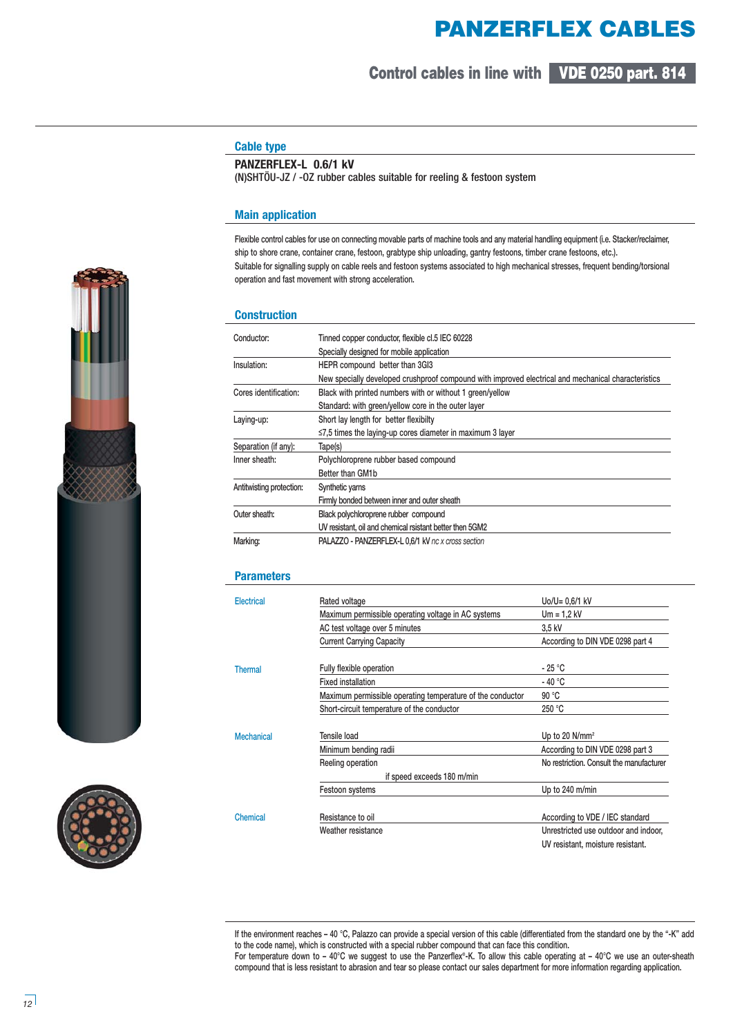# **PANZERFLEX CABLES**

**VDE 0250 part. 814 Control cables in line with**

## **Cable type**

### **PANZERFLEX-L 0.6/1 kV**

(N)SHTÖU-JZ / -OZ rubber cables suitable for reeling & festoon system

#### **Main application**

**Flexible control cables for use on connecting movable parts of machine tools and any material handling equipment (i.e. Stacker/reclaimer, ship to shore crane, container crane, festoon, grabtype ship unloading, gantry festoons, timber crane festoons, etc.). Suitable for signalling supply on cable reels and festoon systems associated to high mechanical stresses, frequent bending/torsional operation and fast movement with strong acceleration.** 

#### **Construction**

| Conductor:               | Tinned copper conductor, flexible cl.5 IEC 60228                                                    |  |  |  |  |  |  |  |  |
|--------------------------|-----------------------------------------------------------------------------------------------------|--|--|--|--|--|--|--|--|
|                          | Specially designed for mobile application                                                           |  |  |  |  |  |  |  |  |
| Insulation:              | HEPR compound better than 3GI3                                                                      |  |  |  |  |  |  |  |  |
|                          | New specially developed crushproof compound with improved electrical and mechanical characteristics |  |  |  |  |  |  |  |  |
| Cores identification:    | Black with printed numbers with or without 1 green/yellow                                           |  |  |  |  |  |  |  |  |
|                          | Standard: with green/yellow core in the outer layer                                                 |  |  |  |  |  |  |  |  |
| Laying-up:               | Short lay length for better flexibilty                                                              |  |  |  |  |  |  |  |  |
|                          | $\leq$ 7.5 times the laying-up cores diameter in maximum 3 layer                                    |  |  |  |  |  |  |  |  |
| Separation (if any):     | Tape(s)                                                                                             |  |  |  |  |  |  |  |  |
| Inner sheath:            | Polychloroprene rubber based compound                                                               |  |  |  |  |  |  |  |  |
|                          | Better than GM1b                                                                                    |  |  |  |  |  |  |  |  |
| Antitwisting protection: | Synthetic yarns                                                                                     |  |  |  |  |  |  |  |  |
|                          | Firmly bonded between inner and outer sheath                                                        |  |  |  |  |  |  |  |  |
| Outer sheath:            | Black polychloroprene rubber compound                                                               |  |  |  |  |  |  |  |  |
|                          | UV resistant, oil and chemical rsistant better then 5GM2                                            |  |  |  |  |  |  |  |  |
| Marking:                 | <b>PALAZZO - PANZERFLEX-L 0.6/1 kV nc x cross section</b>                                           |  |  |  |  |  |  |  |  |

#### **Parameters**

| Electrical        | Rated voltage                                              | Uo/U= 0,6/1 kV                           |  |  |  |
|-------------------|------------------------------------------------------------|------------------------------------------|--|--|--|
|                   | Maximum permissible operating voltage in AC systems        | $Um = 1.2 kV$                            |  |  |  |
|                   | AC test voltage over 5 minutes                             | 3.5 kV                                   |  |  |  |
|                   | <b>Current Carrying Capacity</b>                           | According to DIN VDE 0298 part 4         |  |  |  |
| <b>Thermal</b>    | Fully flexible operation                                   | - 25 °C                                  |  |  |  |
|                   | <b>Fixed installation</b>                                  | - 40 °C                                  |  |  |  |
|                   | Maximum permissible operating temperature of the conductor | 90 °C                                    |  |  |  |
|                   | Short-circuit temperature of the conductor                 | 250 °C                                   |  |  |  |
| <b>Mechanical</b> | Tensile load                                               | Up to 20 $N/mm^2$                        |  |  |  |
|                   | Minimum bending radii                                      | According to DIN VDE 0298 part 3         |  |  |  |
|                   | Reeling operation                                          | No restriction. Consult the manufacturer |  |  |  |
|                   | if speed exceeds 180 m/min                                 |                                          |  |  |  |
|                   | Festoon systems                                            | Up to 240 m/min                          |  |  |  |
| Chemical          | Resistance to oil                                          | According to VDE / IEC standard          |  |  |  |
|                   | Weather resistance                                         | Unrestricted use outdoor and indoor,     |  |  |  |
|                   |                                                            | UV resistant, moisture resistant.        |  |  |  |

**If the environment reaches – 40 °C, Palazzo can provide a special version of this cable (differentiated from the standard one by the "-K" add to the code name), which is constructed with a special rubber compound that can face this condition. For temperature down to – 40°C we suggest to use the Panzerflex®-K. To allow this cable operating at – 40°C we use an outer-sheath compound that is less resistant to abrasion and tear so please contact our sales department for more information regarding application.**



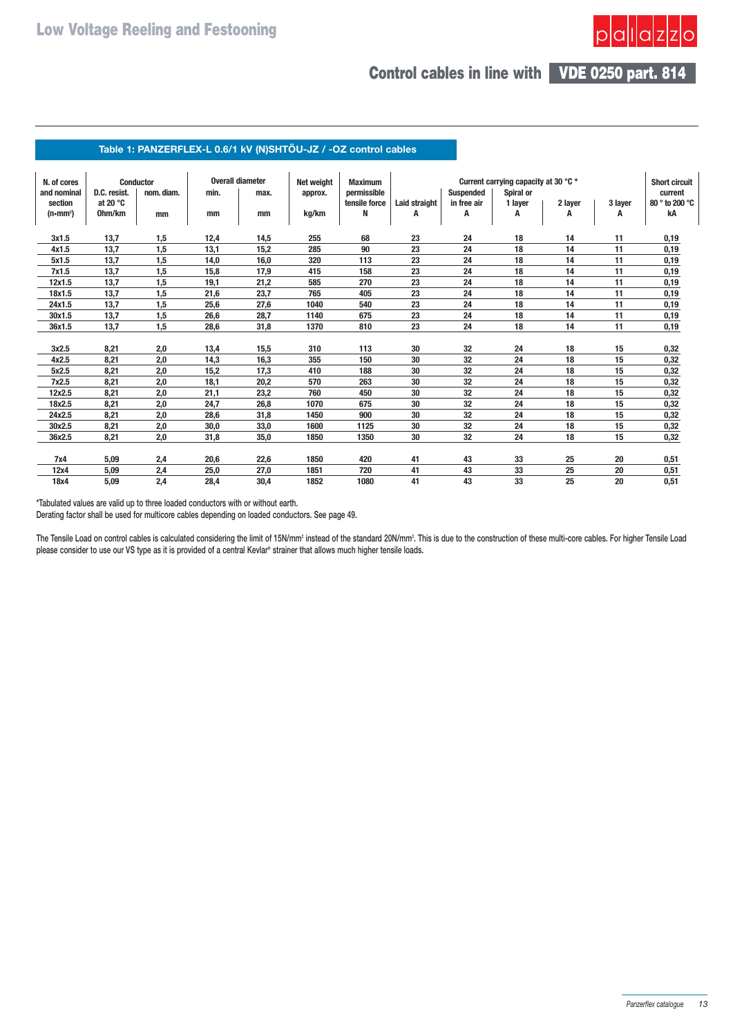# **VDE 0250 part. 814 Control cables in line with**

## Table 1: PANZERFLEX-L 0.6/1 kV (N)SHTÖU-JZ / -OZ control cables

| N. of cores       |                   | <b>Conductor</b> |      | <b>Overall diameter</b> | Net weight | <b>Maximum</b> | Current carrying capacity at 30 °C * |                  |           |         |         | <b>Short circuit</b> |
|-------------------|-------------------|------------------|------|-------------------------|------------|----------------|--------------------------------------|------------------|-----------|---------|---------|----------------------|
| and nominal       | D.C. resist.      | nom. diam.       | min. | max.                    | approx.    | permissible    |                                      | <b>Suspended</b> | Spiral or |         |         | current              |
| section           | at 20 $\degree$ C |                  |      |                         |            | tensile force  | Laid straight                        | in free air      | 1 layer   | 2 layer | 3 layer | 80 ° to 200 °C       |
| $(n \cdot m m^2)$ | 0hm/km            | mm               | mm   | mm                      | kg/km      | N              | A                                    | Α                | A         | A       | A       | kA                   |
|                   |                   |                  |      |                         |            |                |                                      |                  |           |         |         |                      |
| 3x1.5             | 13,7              | 1,5              | 12,4 | 14,5                    | 255        | 68             | 23                                   | 24               | 18        | 14      | 11      | 0,19                 |
| 4x1.5             | 13,7              | 1,5              | 13,1 | 15,2                    | 285        | 90             | 23                                   | 24               | 18        | 14      | 11      | 0,19                 |
| 5x1.5             | 13,7              | 1,5              | 14,0 | 16,0                    | 320        | 113            | 23                                   | 24               | 18        | 14      | 11      | 0,19                 |
| 7x1.5             | 13,7              | 1,5              | 15,8 | 17,9                    | 415        | 158            | 23                                   | 24               | 18        | 14      | 11      | 0,19                 |
| 12x1.5            | 13,7              | 1,5              | 19,1 | 21,2                    | 585        | 270            | 23                                   | 24               | 18        | 14      | 11      | 0, 19                |
| 18x1.5            | 13,7              | 1,5              | 21,6 | 23,7                    | 765        | 405            | 23                                   | 24               | 18        | 14      | 11      | 0,19                 |
| 24x1.5            | 13,7              | 1,5              | 25,6 | 27,6                    | 1040       | 540            | 23                                   | 24               | 18        | 14      | 11      | 0,19                 |
| 30x1.5            | 13,7              | 1,5              | 26,6 | 28,7                    | 1140       | 675            | 23                                   | 24               | 18        | 14      | 11      | 0,19                 |
| 36x1.5            | 13,7              | 1,5              | 28,6 | 31,8                    | 1370       | 810            | 23                                   | 24               | 18        | 14      | 11      | 0,19                 |
|                   |                   |                  |      |                         |            |                |                                      |                  |           |         |         |                      |
| 3x2.5             | 8,21              | 2,0              | 13,4 | 15,5                    | 310        | 113            | 30                                   | 32               | 24        | 18      | 15      | 0,32                 |
| 4x2.5             | 8,21              | 2,0              | 14,3 | 16,3                    | 355        | 150            | 30                                   | 32               | 24        | 18      | 15      | 0,32                 |
| 5x2.5             | 8,21              | 2,0              | 15,2 | 17,3                    | 410        | 188            | 30                                   | 32               | 24        | 18      | 15      | 0,32                 |
| 7x2.5             | 8,21              | 2,0              | 18,1 | 20,2                    | 570        | 263            | 30                                   | 32               | 24        | 18      | 15      | 0,32                 |
| 12x2.5            | 8,21              | 2,0              | 21,1 | 23,2                    | 760        | 450            | 30                                   | 32               | 24        | 18      | 15      | 0,32                 |
| 18x2.5            | 8,21              | 2,0              | 24,7 | 26,8                    | 1070       | 675            | 30                                   | 32               | 24        | 18      | 15      | 0,32                 |
| 24x2.5            | 8,21              | 2,0              | 28,6 | 31,8                    | 1450       | 900            | 30                                   | 32               | 24        | 18      | 15      | 0,32                 |
| 30x2.5            | 8,21              | 2,0              | 30,0 | 33,0                    | 1600       | 1125           | 30                                   | 32               | 24        | 18      | 15      | 0,32                 |
| 36x2.5            | 8,21              | 2,0              | 31,8 | 35,0                    | 1850       | 1350           | 30                                   | 32               | 24        | 18      | 15      | 0,32                 |
|                   |                   |                  |      |                         |            |                |                                      |                  |           |         |         |                      |
| 7x4               | 5,09              | 2,4              | 20,6 | 22,6                    | 1850       | 420            | 41                                   | 43               | 33        | 25      | 20      | 0,51                 |
| 12x4              | 5,09              | 2,4              | 25,0 | 27,0                    | 1851       | 720            | 41                                   | 43               | 33        | 25      | 20      | 0,51                 |
| 18x4              | 5,09              | 2,4              | 28.4 | 30.4                    | 1852       | 1080           | 41                                   | 43               | 33        | 25      | 20      | 0,51                 |

**\*Tabulated values are valid up to three loaded conductors with or without earth.**

**Derating factor shall be used for multicore cables depending on loaded conductors. See page 49.**

The Tensile Load on control cables is calculated considering the limit of 15N/mm<sup>2</sup> instead of the standard 20N/mm<sup>2</sup>. This is due to the construction of these multi-core cables. For higher Tensile Load **please consider to use our VS type as it is provided of a central Kevlar® strainer that allows much higher tensile loads.**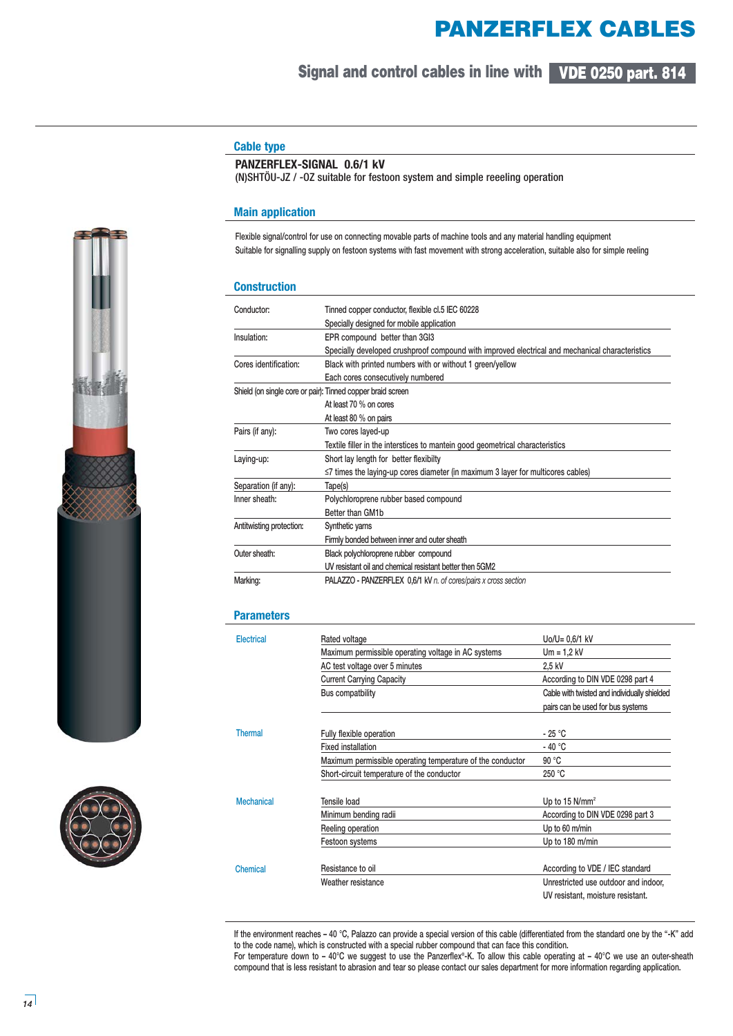# **PANZERFLEX CABLES**

# **VDE 0250 part. 814 Signal and control cables in line with**

# **Cable type**

## **PANZERFLEX-SIGNAL 0.6/1 kV**

(N)SHTÖU-JZ / -OZ suitable for festoon system and simple reeeling operation

#### **Main application**

**Flexible signal/control for use on connecting movable parts of machine tools and any material handling equipment Suitable for signalling supply on festoon systems with fast movement with strong acceleration, suitable also for simple reeling**

#### **Construction**

| Conductor:               | Tinned copper conductor, flexible cl.5 IEC 60228                                                |  |  |  |  |  |  |  |  |
|--------------------------|-------------------------------------------------------------------------------------------------|--|--|--|--|--|--|--|--|
|                          | Specially designed for mobile application                                                       |  |  |  |  |  |  |  |  |
| Insulation:              | EPR compound better than 3GI3                                                                   |  |  |  |  |  |  |  |  |
|                          | Specially developed crushproof compound with improved electrical and mechanical characteristics |  |  |  |  |  |  |  |  |
| Cores identification:    | Black with printed numbers with or without 1 green/yellow                                       |  |  |  |  |  |  |  |  |
|                          | Each cores consecutively numbered                                                               |  |  |  |  |  |  |  |  |
|                          | Shield (on single core or pair): Tinned copper braid screen                                     |  |  |  |  |  |  |  |  |
|                          | At least 70 % on cores                                                                          |  |  |  |  |  |  |  |  |
|                          | At least 80 % on pairs                                                                          |  |  |  |  |  |  |  |  |
| Pairs (if any):          | Two cores layed-up                                                                              |  |  |  |  |  |  |  |  |
|                          | Textile filler in the interstices to mantein good geometrical characteristics                   |  |  |  |  |  |  |  |  |
| Laying-up:               | Short lay length for better flexibilty                                                          |  |  |  |  |  |  |  |  |
|                          | $\leq$ 7 times the laying-up cores diameter (in maximum 3 layer for multicores cables)          |  |  |  |  |  |  |  |  |
| Separation (if any):     | Tape(s)                                                                                         |  |  |  |  |  |  |  |  |
| Inner sheath:            | Polychloroprene rubber based compound                                                           |  |  |  |  |  |  |  |  |
|                          | Better than GM1b                                                                                |  |  |  |  |  |  |  |  |
| Antitwisting protection: | Synthetic yarns                                                                                 |  |  |  |  |  |  |  |  |
|                          | Firmly bonded between inner and outer sheath                                                    |  |  |  |  |  |  |  |  |
| Outer sheath:            | Black polychloroprene rubber compound                                                           |  |  |  |  |  |  |  |  |
|                          | UV resistant oil and chemical resistant better then 5GM2                                        |  |  |  |  |  |  |  |  |
| Marking:                 | PALAZZO - PANZERFLEX 0,6/1 kV n. of cores/pairs x cross section                                 |  |  |  |  |  |  |  |  |

#### **Parameters**

| Electrical        | Rated voltage                                              | $U_0/U = 0.6/1$ kV                           |  |  |  |  |
|-------------------|------------------------------------------------------------|----------------------------------------------|--|--|--|--|
|                   | Maximum permissible operating voltage in AC systems        | $Um = 1.2 kV$                                |  |  |  |  |
|                   | AC test voltage over 5 minutes                             | 2.5 kV                                       |  |  |  |  |
|                   | <b>Current Carrying Capacity</b>                           | According to DIN VDE 0298 part 4             |  |  |  |  |
|                   | Bus compatbility                                           | Cable with twisted and individually shielded |  |  |  |  |
|                   |                                                            | pairs can be used for bus systems            |  |  |  |  |
| <b>Thermal</b>    | Fully flexible operation                                   | - 25 °C                                      |  |  |  |  |
|                   | <b>Fixed installation</b>                                  | $-40 °C$                                     |  |  |  |  |
|                   | Maximum permissible operating temperature of the conductor | 90 °C                                        |  |  |  |  |
|                   | Short-circuit temperature of the conductor                 | 250 °C                                       |  |  |  |  |
| <b>Mechanical</b> | Tensile load                                               | Up to 15 N/mm <sup>2</sup>                   |  |  |  |  |
|                   | Minimum bending radii                                      | According to DIN VDE 0298 part 3             |  |  |  |  |
|                   | Reeling operation                                          | Up to 60 m/min                               |  |  |  |  |
|                   | Festoon systems                                            | Up to 180 m/min                              |  |  |  |  |
|                   |                                                            |                                              |  |  |  |  |
| Chemical          | Resistance to oil                                          | According to VDE / IEC standard              |  |  |  |  |
|                   | Weather resistance                                         | Unrestricted use outdoor and indoor,         |  |  |  |  |
|                   |                                                            | UV resistant, moisture resistant.            |  |  |  |  |

**If the environment reaches – 40 °C, Palazzo can provide a special version of this cable (differentiated from the standard one by the "-K" add to the code name), which is constructed with a special rubber compound that can face this condition.**

**For temperature down to – 40°C we suggest to use the Panzerflex®-K. To allow this cable operating at – 40°C we use an outer-sheath compound that is less resistant to abrasion and tear so please contact our sales department for more information regarding application.**